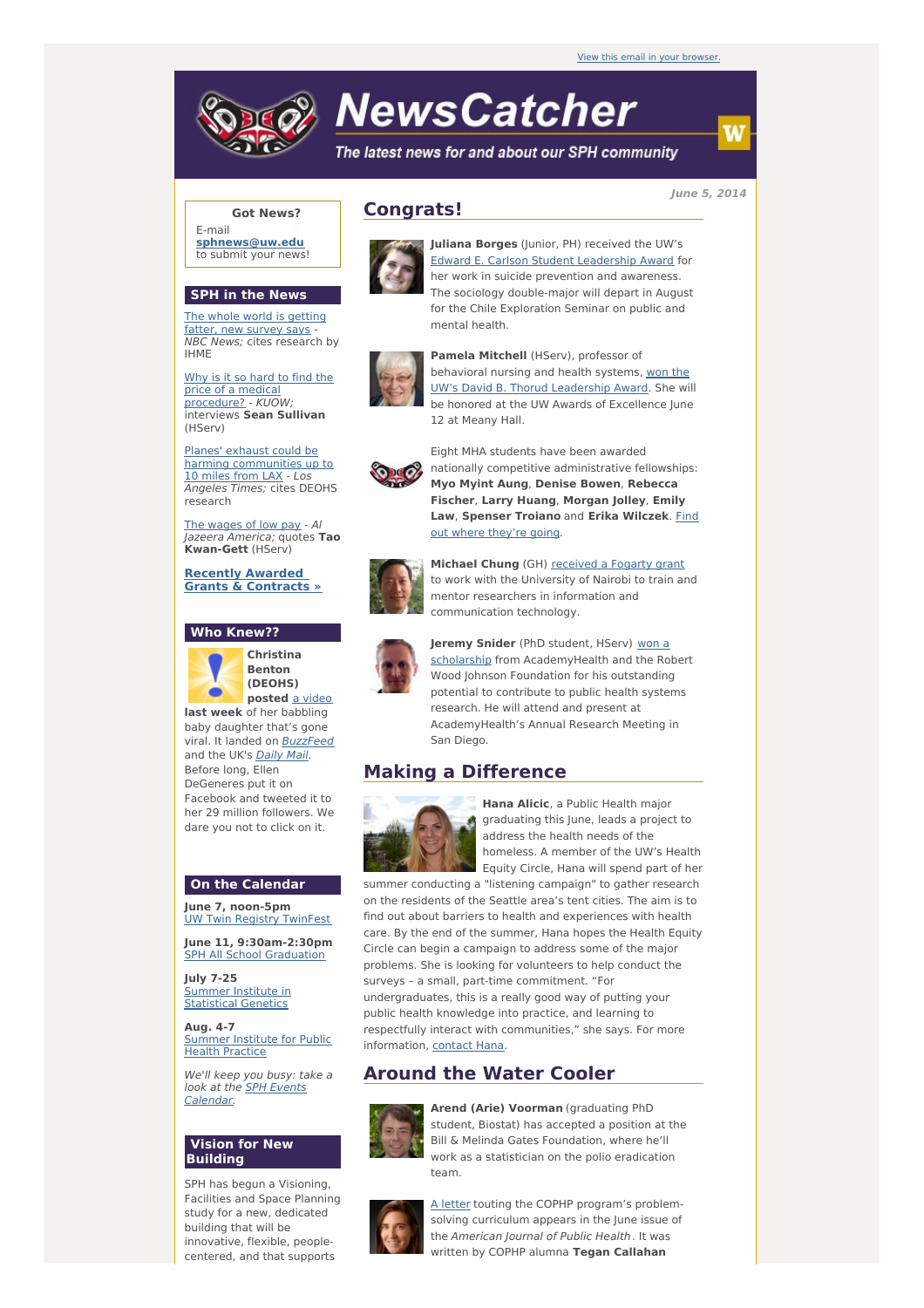

# **NewsCatcher**

The latest news for and about our SPH community

**June 5, 2014**

### **Got News?**

E-mail **[sphnews@uw.edu](mailto:sphnews@uw.edu)** to submit your news!

#### **SPH in the News**

The whole world is [getting](http://engage.washington.edu/site/R?i=GRU25BNBUf8MYf2DE2dSXw) fatter, new survey says NBC News; cites research by IHME

Why is it so hard to find the price of a medical [procedure?](http://engage.washington.edu/site/R?i=Lu55GbVulO96hA0lz3mZDg) - KUOW: interviews **Sean Sullivan** (HServ)

Planes' exhaust could be harming [communities](http://engage.washington.edu/site/R?i=jw3IgZXVVZZCvyP6KXR74Q) up to 10 miles from LAX - Los Angeles Times; cites DEOHS research

The [wages](http://engage.washington.edu/site/R?i=dClwX3w_JJUITtHFUaImzg) of low pay - Al Jazeera America; quotes **Tao Kwan-Gett** (HServ)

**Recently Awarded Grants & [Contracts](http://engage.washington.edu/site/R?i=abjUZUdkPD1quvTAjvfqzA) »**

#### **Who Knew??**



**Christina Benton (DEOHS) posted** a [video](http://engage.washington.edu/site/R?i=HGG-gRAAIsIKtCj93fDACQ) **last week** of her babbling

baby daughter that's gone viral. It landed on [BuzzFeed](http://engage.washington.edu/site/R?i=6jtdga0Eb9stwGrn2MMBOw) and the UK's **[Daily](http://engage.washington.edu/site/R?i=FEgAKzG0PRH-bzYPoW-xrg) Mail**. Before long, Ellen DeGeneres put it on Facebook and tweeted it to her 29 million followers. We dare you not to click on it.

#### **On the Calendar**

**June 7, noon-5pm** UW Twin Registry [TwinFest](http://engage.washington.edu/site/R?i=lPjQcpQvKTj2sxnQ4z6_fw)

**June 11, 9:30am-2:30pm** SPH All School [Graduation](http://engage.washington.edu/site/R?i=eZHqqiyOvqjGTi4Uy-yrYw)

**July 7-25** Summer Institute in [Statistical](http://engage.washington.edu/site/R?i=k6ow7bloEO3Vs27Qsi3FjA) Genetics

**Aug. 4-7** [Summer](http://engage.washington.edu/site/R?i=rzTrpHsUcWzbJ6CN3mnfTA) Institute for Public Health Practice

We'll keep you busy: take a look at the SPH Events [Calendar.](http://engage.washington.edu/site/R?i=ViP3so0kBu9J67HaLHlR4Q)

#### **Vision for New Building**

SPH has begun a Visioning, Facilities and Space Planning study for a new, dedicated building that will be innovative, flexible, peoplecentered, and that supports



**Congrats!**

**Juliana Borges** (Junior, PH) received the UW's Edward E. Carlson Student [Leadership](http://engage.washington.edu/site/R?i=AwgMKtGXHQpd7ZNAWrAXrg) Award for her work in suicide prevention and awareness. The sociology double-major will depart in August for the Chile Exploration Seminar on public and mental health.



**Pamela Mitchell** (HServ), professor of behavioral nursing and health systems, won the UW's David B. Thorud [Leadership](http://engage.washington.edu/site/R?i=Wou6I-fYM-QglwwJq9AEEA) Award. She will be honored at the UW Awards of Excellence June 12 at Meany Hall.



Eight MHA students have been awarded nationally competitive administrative fellowships: **Myo Myint Aung**, **Denise Bowen**, **Rebecca Fischer**, **Larry Huang**, **Morgan Jolley**, **Emily Law**, **[Spenser](http://engage.washington.edu/site/R?i=fmAvzDGNMbCoNiu_-0U2EQ) Troiano** and **Erika Wilczek**. Find out where they're going.



**Michael Chung** (GH) [received](http://engage.washington.edu/site/R?i=ZZCVhjSOSBXzgJgVFzlgEw) a Fogarty grant to work with the University of Nairobi to train and mentor researchers in information and communication technology.



**Jeremy Snider** (PhD student, HServ) won a scholarship from [AcademyHealth](http://engage.washington.edu/site/R?i=FHLK0TDaHoMsLi9AwKv-Rg) and the Robert Wood Johnson Foundation for his outstanding potential to contribute to public health systems research. He will attend and present at AcademyHealth's Annual Research Meeting in San Diego.

# **Making a Difference**



**Hana Alicic**, a Public Health major graduating this June, leads a project to address the health needs of the homeless. A member of the UW's Health Equity Circle, Hana will spend part of her

summer conducting a "listening campaign" to gather research on the residents of the Seattle area's tent cities. The aim is to find out about barriers to health and experiences with health care. By the end of the summer, Hana hopes the Health Equity Circle can begin a campaign to address some of the major problems. She is looking for volunteers to help conduct the surveys – a small, part-time commitment. "For undergraduates, this is a really good way of putting your public health knowledge into practice, and learning to respectfully interact with communities," she says. For more information, [contact](mailto:hanaalicic@gmail.com) Hana.

## **Around the Water Cooler**



**Arend (Arie) Voorman** (graduating PhD student, Biostat) has accepted a position at the Bill & Melinda Gates Foundation, where he'll work as a statistician on the polio eradication team.



A [letter](http://engage.washington.edu/site/R?i=KB3XQQMVX3hF_Nr6QH58yg) touting the COPHP program's problemsolving curriculum appears in the June issue of the American Journal of Public Health. It was written by COPHP alumna **Tegan Callahan**